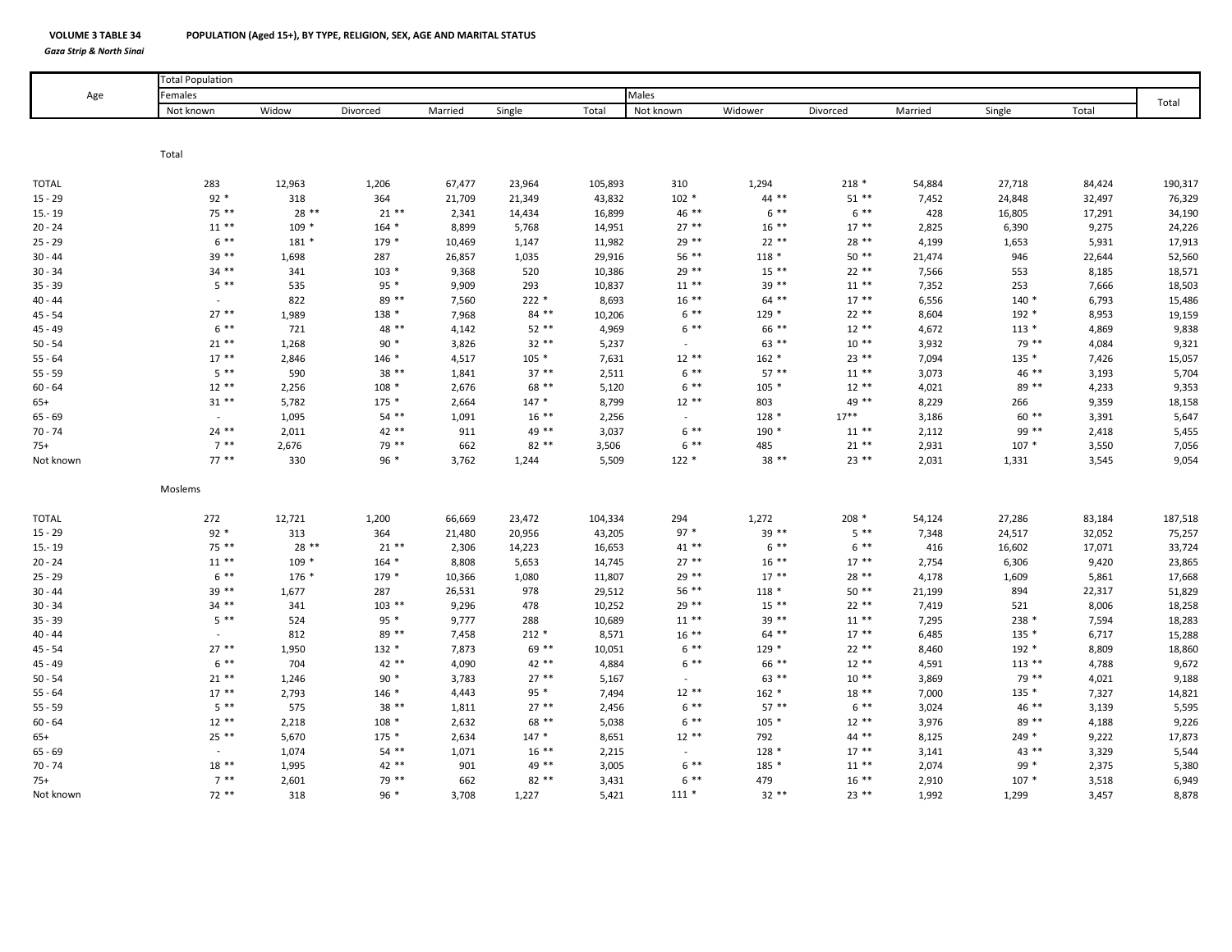*Gaza Strip & North Sinai*

**VOLUME 3**

| Age          | <b>Total Population</b> |         |          |         |         |         |           |         |          |         |          |        |         |
|--------------|-------------------------|---------|----------|---------|---------|---------|-----------|---------|----------|---------|----------|--------|---------|
|              | Females                 |         |          |         |         |         | Males     |         |          |         |          |        | Total   |
|              | Not known               | Widow   | Divorced | Married | Single  | Total   | Not known | Widower | Divorced | Married | Single   | Total  |         |
|              | Total                   |         |          |         |         |         |           |         |          |         |          |        |         |
|              |                         |         |          |         |         |         |           |         |          |         |          |        |         |
| <b>TOTAL</b> | 283                     | 12,963  | 1,206    | 67,477  | 23,964  | 105,893 | 310       | 1,294   | $218 *$  | 54,884  | 27,718   | 84,424 | 190,317 |
| $15 - 29$    | $92*$                   | 318     | 364      | 21,709  | 21,349  | 43,832  | $102 *$   | $44$ ** | $51**$   | 7,452   | 24,848   | 32,497 | 76,329  |
| $15 - 19$    | 75 **                   | $28**$  | $21**$   | 2,341   | 14,434  | 16,899  | 46 **     | $6***$  | $6***$   | 428     | 16,805   | 17,291 | 34,190  |
| $20 - 24$    | $11***$                 | $109 *$ | $164 *$  | 8,899   | 5,768   | 14,951  | $27**$    | $16***$ | $17***$  | 2,825   | 6,390    | 9,275  | 24,226  |
| $25 - 29$    | $6***$                  | $181*$  | $179*$   | 10,469  | 1,147   | 11,982  | 29 **     | $22**$  | $28**$   | 4,199   | 1,653    | 5,931  | 17,913  |
| $30 - 44$    | $39**$                  | 1,698   | 287      | 26,857  | 1,035   | 29,916  | $56***$   | $118 *$ | $50**$   | 21,474  | 946      | 22,644 | 52,560  |
| $30 - 34$    | $34$ **                 | 341     | $103 *$  | 9,368   | 520     | 10,386  | $29**$    | $15***$ | $22**$   | 7,566   | 553      | 8,185  | 18,571  |
| $35 - 39$    | $5 * *$                 | 535     | $95*$    | 9,909   | 293     | 10,837  | $11***$   | $39**$  | $11***$  | 7,352   | 253      | 7,666  | 18,503  |
| $40 - 44$    |                         | 822     | 89 **    | 7,560   | $222*$  | 8,693   | $16***$   | $64$ ** | $17***$  | 6,556   | $140*$   | 6,793  | 15,486  |
| $45 - 54$    | $27**$                  | 1,989   | $138 *$  | 7,968   | $84***$ | 10,206  | $6***$    | $129 *$ | $22**$   | 8,604   | $192 *$  | 8,953  | 19,159  |
| $45 - 49$    | $6***$                  | 721     | 48 **    | 4,142   | $52**$  | 4,969   | $6***$    | 66 **   | $12**$   | 4,672   | $113 *$  | 4,869  | 9,838   |
| $50 - 54$    | $21**$                  | 1,268   | $90*$    | 3,826   | $32**$  | 5,237   | $\sim$    | $63$ ** | $10**$   | 3,932   | 79 **    | 4,084  | 9,321   |
| $55 - 64$    | $17***$                 | 2,846   | $146 *$  | 4,517   | $105 *$ | 7,631   | $12**$    | $162 *$ | $23 **$  | 7,094   | $135 *$  | 7,426  | 15,057  |
| $55 - 59$    | $5 * *$                 | 590     | $38**$   | 1,841   | $37**$  | 2,511   | $6***$    | $57***$ | $11***$  | 3,073   | $46**$   | 3,193  | 5,704   |
| $60 - 64$    | $12**$                  | 2,256   | $108 *$  | 2,676   | 68 **   | 5,120   | $6***$    | $105 *$ | $12**$   | 4,021   | 89 **    | 4,233  | 9,353   |
| $65+$        | $31**$                  | 5,782   | $175*$   | 2,664   | $147 *$ | 8,799   | $12**$    | 803     | 49 **    | 8,229   | 266      | 9,359  | 18,158  |
| $65 - 69$    |                         | 1,095   | $54$ **  | 1,091   | $16***$ | 2,256   | $\sim$    | $128*$  | $17***$  | 3,186   | $60**$   | 3,391  | 5,647   |
| $70 - 74$    | $24$ **                 | 2,011   | 42 **    | 911     | 49 **   | 3,037   | $6***$    | $190*$  | $11**$   | 2,112   | 99 **    | 2,418  | 5,455   |
| $75+$        | $7^{**}$                | 2,676   | 79 **    | 662     | $82**$  | 3,506   | $6***$    | 485     | $21**$   | 2,931   | $107 *$  | 3,550  | 7,056   |
| Not known    | $77***$                 | 330     | $96 *$   | 3,762   | 1,244   | 5,509   | $122 *$   | $38**$  | $23$ **  | 2,031   | 1,331    | 3,545  | 9,054   |
|              | Moslems                 |         |          |         |         |         |           |         |          |         |          |        |         |
| <b>TOTAL</b> | 272                     | 12,721  | 1,200    | 66,669  | 23,472  | 104,334 | 294       | 1,272   | $208 *$  | 54,124  | 27,286   | 83,184 | 187,518 |
| $15 - 29$    | $92 *$                  | 313     | 364      | 21,480  | 20,956  | 43,205  | $97 *$    | $39**$  | $5***$   | 7,348   | 24,517   | 32,052 | 75,257  |
| $15 - 19$    | $75***$                 | $28**$  | $21**$   | 2,306   | 14,223  | 16,653  | $41**$    | $6***$  | $6***$   | 416     | 16,602   | 17,071 | 33,724  |
| $20 - 24$    | $11***$                 | $109 *$ | $164 *$  | 8,808   | 5,653   | 14,745  | $27**$    | $16***$ | $17**$   | 2,754   | 6,306    | 9,420  | 23,865  |
| $25 - 29$    | $6***$                  | 176 *   | 179 *    | 10,366  | 1,080   | 11,807  | 29 **     | $17***$ | 28 **    | 4,178   | 1,609    | 5,861  | 17,668  |
| $30 - 44$    | $39**$                  | 1,677   | 287      | 26,531  | 978     | 29,512  | 56 **     | $118 *$ | $50**$   | 21,199  | 894      | 22,317 | 51,829  |
| $30 - 34$    | $34$ **                 | 341     | $103$ ** | 9,296   | 478     | 10,252  | $29**$    | $15***$ | $22**$   | 7,419   | 521      | 8,006  | 18,258  |
| $35 - 39$    | $5 * *$                 | 524     | $95 *$   | 9,777   | 288     | 10,689  | $11***$   | 39 **   | $11***$  | 7,295   | 238 *    | 7,594  | 18,283  |
| $40 - 44$    |                         | 812     | 89 **    | 7,458   | $212 *$ | 8,571   | $16***$   | $64$ ** | $17***$  | 6,485   | $135 *$  | 6,717  | 15,288  |
| $45 - 54$    | $27**$                  | 1,950   | $132 *$  | 7,873   | 69 **   | 10,051  | $6***$    | $129 *$ | $22**$   | 8,460   | $192 *$  | 8,809  | 18,860  |
| $45 - 49$    | $6***$                  | 704     | 42 **    | 4,090   | 42 **   | 4,884   | $6***$    | 66 **   | $12**$   | 4,591   | $113$ ** | 4,788  | 9,672   |
| $50 - 54$    | $21$ **                 | 1,246   | $90*$    | 3,783   | $27**$  | 5,167   | $\sim$    | $63$ ** | $10**$   | 3,869   | 79 **    | 4,021  | 9,188   |
| $55 - 64$    | $17**$                  | 2,793   | $146*$   | 4,443   | $95 *$  | 7,494   | $12***$   | $162 *$ | $18**$   | 7,000   | $135 *$  | 7,327  | 14,821  |
| $55 - 59$    | $5**$                   | 575     | $38**$   | 1,811   | $27**$  | 2,456   | $6***$    | $57***$ | $6***$   | 3,024   | 46 **    | 3,139  | 5,595   |
| $60 - 64$    | $12**$                  | 2,218   | $108 *$  | 2,632   | 68 **   | 5,038   | $6***$    | $105 *$ | $12**$   | 3,976   | 89 **    | 4,188  | 9,226   |
| $65+$        | $25**$                  | 5,670   | $175*$   | 2,634   | $147 *$ | 8,651   | $12**$    | 792     | 44 **    | 8,125   | $249 *$  | 9,222  | 17,873  |
| $65 - 69$    | $\sim$                  | 1,074   | $54**$   | 1,071   | $16***$ | 2,215   | $\sim$    | $128*$  | $17***$  | 3,141   | 43 **    | 3,329  | 5,544   |
| $70 - 74$    | $18**$                  | 1,995   | 42 **    | 901     | 49 **   | 3,005   | $6***$    | 185 *   | $11***$  | 2,074   | $99 *$   | 2,375  | 5,380   |
| $75+$        | $7***$                  | 2,601   | 79 **    | 662     | $82**$  | 3,431   | $6***$    | 479     | $16***$  | 2,910   | $107 *$  | 3,518  | 6,949   |
| Not known    | $72**$                  | 318     | $96*$    | 3,708   | 1,227   | 5,421   | $111*$    | $32**$  | $23$ **  | 1,992   | 1,299    | 3,457  | 8,878   |